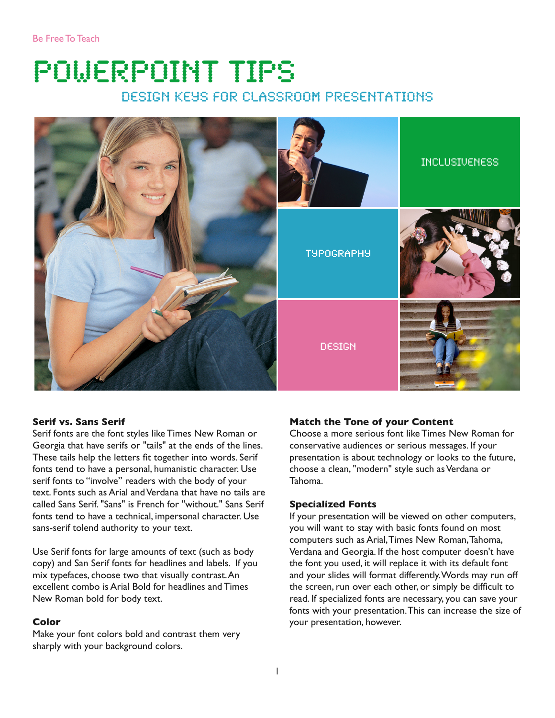# PowerPoint Tips design Keys for Classroom Presentations



# **Serif vs. Sans Serif**

Serif fonts are the font styles like Times New Roman or Georgia that have serifs or "tails" at the ends of the lines. These tails help the letters fit together into words. Serif fonts tend to have a personal, humanistic character. Use serif fonts to "involve" readers with the body of your text. Fonts such as Arial and Verdana that have no tails are called Sans Serif. "Sans" is French for "without." Sans Serif fonts tend to have a technical, impersonal character. Use sans-serif tolend authority to your text.

Use Serif fonts for large amounts of text (such as body copy) and San Serif fonts for headlines and labels. If you mix typefaces, choose two that visually contrast. An excellent combo is Arial Bold for headlines and Times New Roman bold for body text.

#### **Color**

Make your font colors bold and contrast them very sharply with your background colors.

#### **Match the Tone of your Content**

Choose a more serious font like Times New Roman for conservative audiences or serious messages. If your presentation is about technology or looks to the future, choose a clean, "modern" style such as Verdana or Tahoma.

#### **Specialized Fonts**

If your presentation will be viewed on other computers, you will want to stay with basic fonts found on most computers such as Arial, Times New Roman, Tahoma, Verdana and Georgia. If the host computer doesn't have the font you used, it will replace it with its default font and your slides will format differently. Words may run off the screen, run over each other, or simply be difficult to read. If specialized fonts are necessary, you can save your fonts with your presentation. This can increase the size of your presentation, however.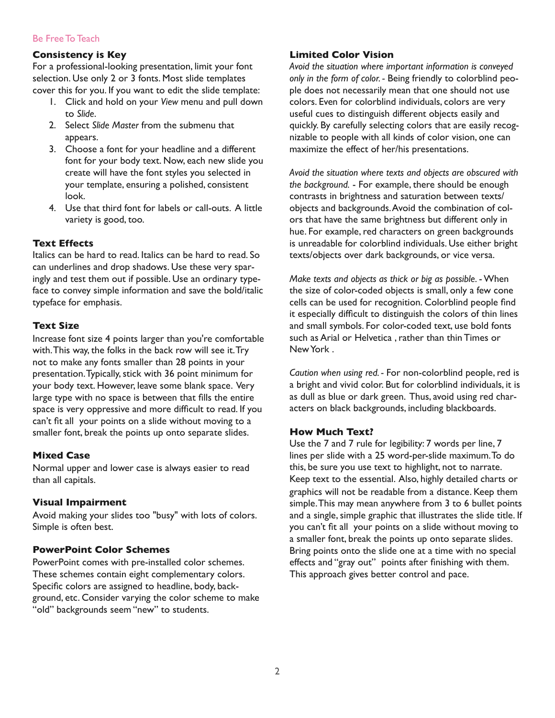# Be Free To Teach

# **Consistency is Key**

For a professional-looking presentation, limit your font selection. Use only 2 or 3 fonts. Most slide templates cover this for you. If you want to edit the slide template:

- 1. Click and hold on your *View* menu and pull down to *Slide*.
- 2. Select *Slide Master* from the submenu that appears.
- 3. Choose a font for your headline and a different font for your body text. Now, each new slide you create will have the font styles you selected in your template, ensuring a polished, consistent look.
- 4. Use that third font for labels or call-outs. A little variety is good, too.

## **Text Effects**

Italics can be hard to read. Italics can be hard to read. So can underlines and drop shadows. Use these very sparingly and test them out if possible. Use an ordinary typeface to convey simple information and save the bold/italic typeface for emphasis.

#### **Text Size**

Increase font size 4 points larger than you're comfortable with. This way, the folks in the back row will see it. Try not to make any fonts smaller than 28 points in your presentation. Typically, stick with 36 point minimum for your body text. However, leave some blank space. Very large type with no space is between that fills the entire space is very oppressive and more difficult to read. If you can't fit all your points on a slide without moving to a smaller font, break the points up onto separate slides.

# **Mixed Case**

Normal upper and lower case is always easier to read than all capitals.

#### **Visual Impairment**

Avoid making your slides too "busy" with lots of colors. Simple is often best.

## **PowerPoint Color Schemes**

PowerPoint comes with pre-installed color schemes. These schemes contain eight complementary colors. Specific colors are assigned to headline, body, background, etc. Consider varying the color scheme to make "old" backgrounds seem "new" to students.

## **Limited Color Vision**

*Avoid the situation where important information is conveyed only in the form of color. -* Being friendly to colorblind people does not necessarily mean that one should not use colors. Even for colorblind individuals, colors are very useful cues to distinguish different objects easily and quickly. By carefully selecting colors that are easily recognizable to people with all kinds of color vision, one can maximize the effect of her/his presentations.

*Avoid the situation where texts and objects are obscured with the background.* - For example, there should be enough contrasts in brightness and saturation between texts/ objects and backgrounds. Avoid the combination of colors that have the same brightness but different only in hue. For example, red characters on green backgrounds is unreadable for colorblind individuals. Use either bright texts/objects over dark backgrounds, or vice versa.

*Make texts and objects as thick or big as possible.* - When the size of color-coded objects is small, only a few cone cells can be used for recognition. Colorblind people find it especially difficult to distinguish the colors of thin lines and small symbols. For color-coded text, use bold fonts such as Arial or Helvetica , rather than thin Times or New York .

*Caution when using red. -* For non-colorblind people, red is a bright and vivid color. But for colorblind individuals, it is as dull as blue or dark green. Thus, avoid using red characters on black backgrounds, including blackboards.

# **How Much Text?**

Use the 7 and 7 rule for legibility: 7 words per line, 7 lines per slide with a 25 word-per-slide maximum. To do this, be sure you use text to highlight, not to narrate. Keep text to the essential. Also, highly detailed charts or graphics will not be readable from a distance. Keep them simple. This may mean anywhere from 3 to 6 bullet points and a single, simple graphic that illustrates the slide title. If you can't fit all your points on a slide without moving to a smaller font, break the points up onto separate slides. Bring points onto the slide one at a time with no special effects and "gray out" points after finishing with them. This approach gives better control and pace.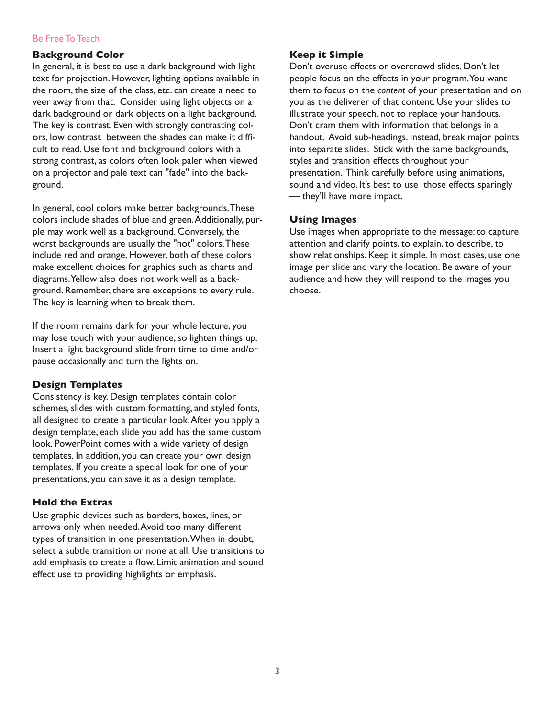## Be Free To Teach

## **Background Color**

In general, it is best to use a dark background with light text for projection. However, lighting options available in the room, the size of the class, etc. can create a need to veer away from that. Consider using light objects on a dark background or dark objects on a light background. The key is contrast. Even with strongly contrasting colors, low contrast between the shades can make it difficult to read. Use font and background colors with a strong contrast, as colors often look paler when viewed on a projector and pale text can "fade" into the background.

In general, cool colors make better backgrounds. These colors include shades of blue and green. Additionally, purple may work well as a background. Conversely, the worst backgrounds are usually the "hot" colors. These include red and orange. However, both of these colors make excellent choices for graphics such as charts and diagrams. Yellow also does not work well as a background. Remember, there are exceptions to every rule. The key is learning when to break them.

If the room remains dark for your whole lecture, you may lose touch with your audience, so lighten things up. Insert a light background slide from time to time and/or pause occasionally and turn the lights on.

#### **Design Templates**

Consistency is key. Design templates contain color schemes, slides with custom formatting, and styled fonts, all designed to create a particular look. After you apply a design template, each slide you add has the same custom look. PowerPoint comes with a wide variety of design templates. In addition, you can create your own design templates. If you create a special look for one of your presentations, you can save it as a design template.

# **Hold the Extras**

Use graphic devices such as borders, boxes, lines, or arrows only when needed. Avoid too many different types of transition in one presentation. When in doubt, select a subtle transition or none at all. Use transitions to add emphasis to create a flow. Limit animation and sound effect use to providing highlights or emphasis.

## **Keep it Simple**

Don't overuse effects or overcrowd slides. Don't let people focus on the effects in your program. You want them to focus on the *content* of your presentation and on you as the deliverer of that content. Use your slides to illustrate your speech, not to replace your handouts. Don't cram them with information that belongs in a handout. Avoid sub-headings. Instead, break major points into separate slides. Stick with the same backgrounds, styles and transition effects throughout your presentation. Think carefully before using animations, sound and video. It's best to use those effects sparingly — they'll have more impact.

# **Using Images**

Use images when appropriate to the message: to capture attention and clarify points, to explain, to describe, to show relationships. Keep it simple. In most cases, use one image per slide and vary the location. Be aware of your audience and how they will respond to the images you choose.